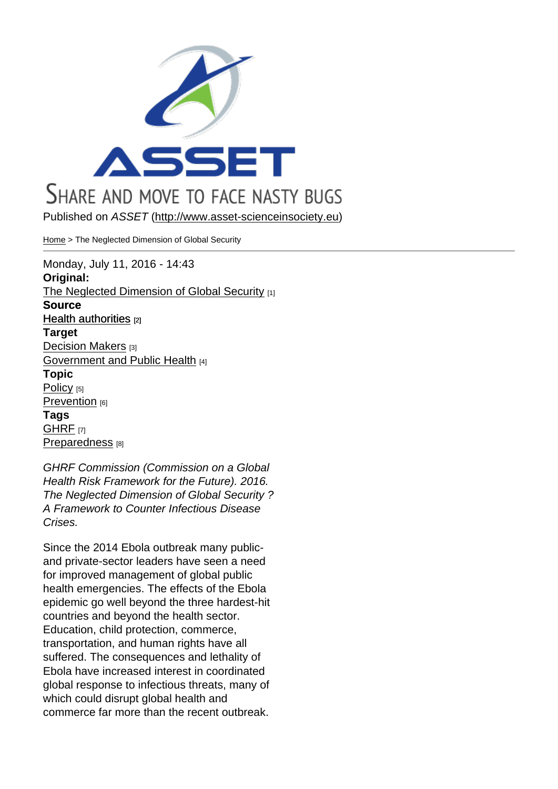Published on ASSET (http://www.asset-scienceinsociety.eu)

Home > The Neglected Dimension of Global Security

Monday, July 11, 201[6 - 14:43](http://www.asset-scienceinsociety.eu) Original: [The](http://www.asset-scienceinsociety.eu/) Neglected Dimension of Global Security [1] **Source** Health authorities [2] **Target** Decision Makers [3] [Government and P](http://www.asset-scienceinsociety.eu/resources/health-authorities)ublic Health [4] Topic [Policy](http://www.asset-scienceinsociety.eu/target/decision-makers) [5] [Prevention](http://www.asset-scienceinsociety.eu/target/government-and-public-health) [6] Tags [GHRF](http://www.asset-scienceinsociety.eu/topic/policy) [7] [Preparedne](http://www.asset-scienceinsociety.eu/topic/prevention)ss<sub>[8]</sub>

GHRF Commission (Commission on a Global [Health](http://www.asset-scienceinsociety.eu/tags/ghrf) Risk Framework for the Future). 2016. [The Neglected](http://www.asset-scienceinsociety.eu/tags/preparedness) Dimension of Global Security ? A Framework to Counter Infectious Disease Crises.

Since the 2014 Ebola outbreak many publicand private-sector leaders have seen a need for improved management of global public health emergencies. The effects of the Ebola epidemic go well beyond the three hardest-hit countries and beyond the health sector. Education, child protection, commerce, transportation, and human rights have all suffered. The consequences and lethality of Ebola have increased interest in coordinated global response to infectious threats, many of which could disrupt global health and commerce far more than the recent outbreak.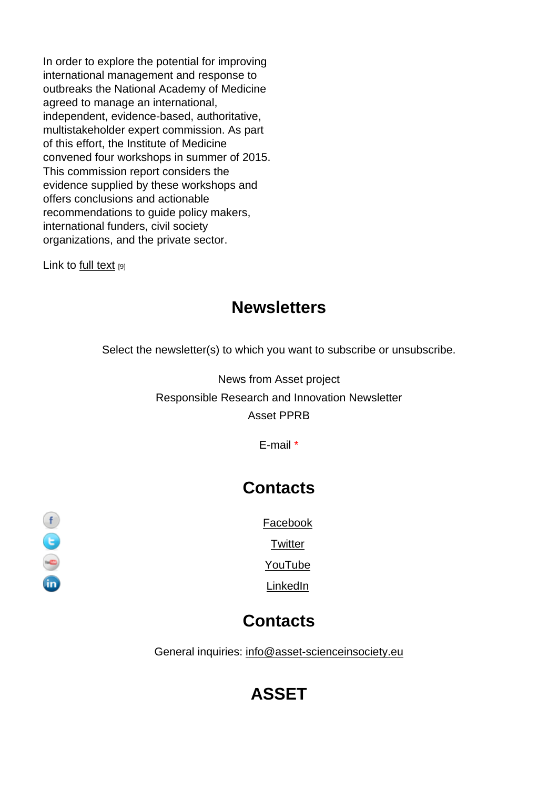In order to explore the potential for improving international management and response to outbreaks the National Academy of Medicine agreed to manage an international, independent, evidence-based, authoritative, multistakeholder expert commission. As part of this effort, the Institute of Medicine convened four workshops in summer of 2015. This commission report considers the evidence supplied by these workshops and offers conclusions and actionable recommendations to guide policy makers, international funders, civil society organizations, and the private sector.

Link to full text [9]

#### **Newsletters**

Select the newsletter(s) to which you want to subscribe or unsubscribe.

News from Asset project Responsible Research and Innovation Newsletter Asset PPRB

E-mail \*

## **Contacts**

Facebook

**Twitter** 

YouTube

LinkedIn

## **Contacts**

General inquiries: info@asset-scienceinsociety.eu

# [ASSET](mailto:info@asset-scienceinsociety.eu)